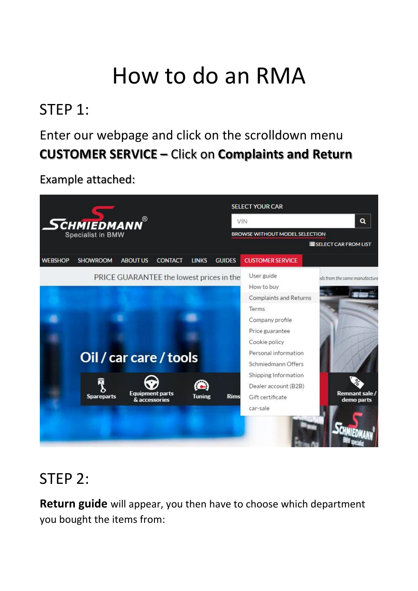# How to do an RMA

# STEP 1:

## Enter our webpage and click on the scrolldown menu **CUSTOMER SERVICE –** Click on **Complaints and Return**

Example attached:



# STEP 2:

**Return guide** will appear, you then have to choose which department you bought the items from: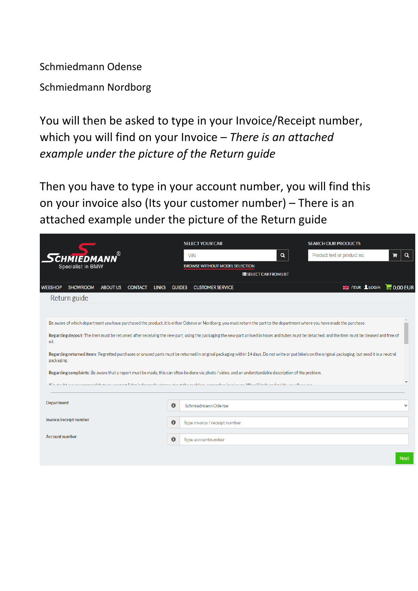Schmiedmann Odense

Schmiedmann Nordborg

You will then be asked to type in your Invoice/Receipt number, which you will find on your Invoice – *There is an attached example under the picture of the Return guide*

Then you have to type in your account number, you will find this on your invoice also (Its your customer number) – There is an attached example under the picture of the Return guide

|                                                                        | <b>SELECT YOUR CAR</b>                                                                                                                                                                              |                              | <b>SEARCH OUR PRODUCTS</b>  |                 |  |  |  |
|------------------------------------------------------------------------|-----------------------------------------------------------------------------------------------------------------------------------------------------------------------------------------------------|------------------------------|-----------------------------|-----------------|--|--|--|
| <b>CHMIEDMA</b>                                                        | <b>VIN</b>                                                                                                                                                                                          | Q                            | Product text or product no. | Q<br>Ħ.         |  |  |  |
| Specialist in BMW                                                      | <b>BROWSE WITHOUT MODEL SELECTION</b>                                                                                                                                                               |                              |                             |                 |  |  |  |
|                                                                        |                                                                                                                                                                                                     | <b>ESELECT CAR FROM LIST</b> |                             |                 |  |  |  |
| <b>SHOWROOM</b><br><b>ABOUT US</b><br><b>CONTACT</b><br><b>WEBSHOP</b> | <b>GUIDES</b><br><b>LINKS</b><br><b>CUSTOMER SERVICE</b>                                                                                                                                            |                              | login                       | $\Box$ 0.00 EUR |  |  |  |
| Return guide                                                           |                                                                                                                                                                                                     |                              |                             |                 |  |  |  |
|                                                                        |                                                                                                                                                                                                     |                              |                             |                 |  |  |  |
|                                                                        | Be aware of which department you have purchased the product, it is either Odense or Nordborg, you must return the part to the department where you have made the purchase.                          |                              |                             |                 |  |  |  |
| oil.                                                                   | Regarding deposit: The item must be returned after receiving the new part, using the packaging the new part arrived in hoses and tubes must be detached, and the item must be cleaned and free of   |                              |                             |                 |  |  |  |
| packaging.                                                             | Regarding returned items: Regretted purchases or unused parts must be returned in original packaging within 14 days. Do not write or put labels on the original packaging, but send it in a neutral |                              |                             |                 |  |  |  |
|                                                                        | Regarding complaints: Be aware that a report must be made, this can often be done via photo / video, and an understandable description of the problem.                                              |                              |                             |                 |  |  |  |
|                                                                        | If in doubt, we cocommond that you contact Cohmindmann by abons about the problem, comember invoice no. Mo will bela and mude you all we can                                                        |                              |                             |                 |  |  |  |
|                                                                        |                                                                                                                                                                                                     |                              |                             |                 |  |  |  |
| Department                                                             | $\mathbf{\Theta}$<br>Schmiedmann Odense                                                                                                                                                             |                              |                             | $\checkmark$    |  |  |  |
| Invoice/receipt number                                                 |                                                                                                                                                                                                     |                              |                             |                 |  |  |  |
|                                                                        | $\bullet$<br>Type invoice / receipt number                                                                                                                                                          |                              |                             |                 |  |  |  |
| <b>Account number</b>                                                  | $\mathbf{\Theta}$<br>Type accountnumber                                                                                                                                                             |                              |                             |                 |  |  |  |
|                                                                        |                                                                                                                                                                                                     |                              |                             |                 |  |  |  |
|                                                                        |                                                                                                                                                                                                     |                              |                             | <b>Next</b>     |  |  |  |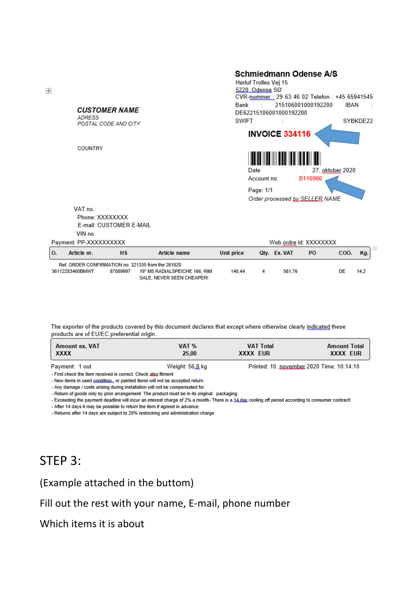#### **CUSTOMER NAME**

**ADRESS** POSTAL CODE AND CITY

COUNTRY

#### **Schmiedmann Odense A/S**

Herluf Trolles Vej 15 5220 Odense SØ CVR-nummer: 29 63 46 02 Telefon: +45 65941545 215106001000192200 Bank  $\sim 10^{-1}$ **IBAN** DE62215106001000192200 SWIFT SYBKDE22 **INVOICE 334116** Date 27. oktober 2020 Account no: B116986 Page: 1/1

Order processed by: SELLER NAME

Web ordre id: XXXXXXXX

ם ר

VAT no.: Phone: XXXXXXXX E-mail: CUSTOMER E-MAIL VIN no.

Payment: PP-XXXXXXXXXX

|                                                    | Article nr.     | <b>HS</b> | Article name                  | Unit price | Otv. Ex. VAT | PO | COO. | Ka.  |
|----------------------------------------------------|-----------------|-----------|-------------------------------|------------|--------------|----|------|------|
| Ref. ORDER CONFIRMATION no. 321335 from the 261020 |                 |           |                               |            |              |    |      |      |
|                                                    | 36112283460BMWT | 87089997  | 19" M5 RADIALSPEICHE 166. RIM | 140.44     | 561.76       |    | DE.  | 14.2 |
|                                                    |                 |           | SALE. NEVER SEEN CHEAPER!     |            |              |    |      |      |

The exporter of the products covered by this document declares that except where otherwise clearly indicated these products are of EU/EC preferential origin.

| Amount ex. VAT | VAT %           | <b>VAT Total</b> | <b>Amount Total</b>                       |
|----------------|-----------------|------------------|-------------------------------------------|
| xxxx           | 25.00           | XXXX EUR         | XXXX FUR                                  |
| Payment: 1 out | Weight: 56.8 kg |                  | Printed: 10. november 2020 Time: 10:14:10 |

- First check the item received is correct. Check also fitment

- New items in used condition., or painted items will not be accepted return.

- Any damage / costs arising during installation will not be compensated for

- Return of goods only by prior arrangement. The product must be in its original packaging

- Exceeding the payment deadline will incur an interest charge of 2% a month- There is a 14 day cooling off period according to consumer contract!

- After 14 days it may be possible to return the item if agreed in advance.

- Returns after 14 days are subject to 20% restocking and administration charge

### STEP 3:

### (Example attached in the buttom)

### Fill out the rest with your name, E-mail, phone number

Which items it is about

 $\left| + \right|$